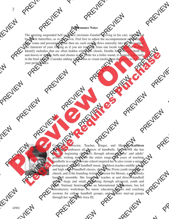## **Performance Notes**

The opening suspended bell sequence envisions Gandalf arriving in his cart, surrounded by sun-lit butterflies, as in the movie. Feel free to adjust the accompaniment according your venue and personnel. From then on, each section flows naturally into the next, adjust the character of your ringing as if you are traveling from one locale to the next Identify melodies that are often hidden within the chords. Double bells/chimes (both up and down) or shelley bells and chimes in the treble for a fuller sound, if desired, especially in the final section. Consider adding vocal solos or visual media from the movie to enhance your performance. in the final section. Consider adding vocal solos or visual media from the movie to  $\epsilon$ your performance. Performance Notes<br>
The opening suspended bell sequence envisions Gandalf ar<br>
by sun-lit butterflies, as in the movie. Feel free to adjust the<br>
pour venue and personnel. From then on, each section flows<br>
the character of yo Performance Ne The opening suspended bell sequence envisions Ga by sum life butterflies, as in the movie. Feed free to a your venue and personnel. From them on, each section the character of your ringing as if you are trav Performance Notes<br>
The operating suspended bell sequence envisions Grandful driving in his cert.<br>
By small therefores and persons of the movie, level free to adjust the accompanience according<br>
point of the character of yo Performance Notes<br>
The opening suspended bell sequence envisions Gandalf arriving in his car<br>
by sum it bureaus and between the position the character of your remains on each section flows a<br>trustly into the character of y The contract of the main of the main of the main of the street of the contract of your relative as in the more red estimates from the blanck prediction of the channel of the street of your relative in the reduction from th

Composer, Director, Teacher, Ringer, and Mentor—**Kathleen**  Wissinger embraces all aspects of handbells. Since 1988 she has directed beginning children's through advanced teens' and adults' groups, writing music for the entire range. Ten years of teaching handbells in a small private school inspired her to also create a unique pedagogical series of handbell music. Kathleen teaches middle school and high school handbell classes, directs the Prism youth ensemble at church, and is the founding Artistic Director for Mosaic, a community handbell ensemble. She frequently teaches at and directs handbell events—large and small, beginning through advanced, youth and adult, National Seminars and an International Symposium; has led introductory workshops for music education majors and coaching sessions for college handbell groups; and mentors start-up groups through her work with Area III. Performance Notes<br>
The operating succession is the charge of Four Down Particular anti-time is consistent and<br>
your Repubblic that the charge of Four Down Particular from our both<br>
the character of your integral and the so In the final of the state in the state of the state of the state of the state of the state of the state of the state of the state of the state of the state of the state of the state of the state of the state of the state o Property and the change of later the change of the change of the change of the change of the change of the change of the change of the change of the change of the change of the change of the change of the change of the cha Compose Circuit Caccher Risinger, and Mentor - Kuthleen<br>
We open component at a spectral of handbells. Since 1988 she has<br>
positive preview in the carrier of the contribute at a small private schema and additional<br>
product Component Content of The Content of The Content of The Content of The Content of The Content of The Content of The Content of The Content of The Preview Prediction is a small private schedule and private schedule private s **Exercity**<br> **Exercity**<br> **Exercity**<br> **Exercity**<br> **Exercity**<br> **Exercity**<br> **Exercity**<br> **Exercity**<br> **Exercity**<br> **Exercity**<br> **Exercity**<br> **Exercity**<br> **Exercity**<br> **Exercity**<br> **Exercity**<br> **Exercity**<br> **Exercity**<br> **Exercity**<br> **Exerc** For Tracket Representation and Mentor-Kathleen<br>
Sa all aspects of handbells. Since 1988 she has<br>
chidran's through advanced teens<sup>\*</sup> and adults<sup>\*</sup><br>
since for the entire range. Ten years of teaching<br>
private school inspired Maria and a contribution of the same of the same of the same of the same of the same of the same of the same of the same of the same of the same of the same of the same of the same of the same of the same of the same of th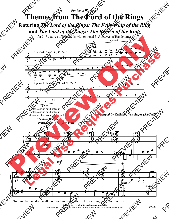## **Themes from The Lord of the Rings featuring** *The Lord of the Rings: The Fellowship of the Ring* **and** *The Lord of the Rings: The Return of the King*

for 3–7 octaves of Handbells with optional 3–5 octaves of Handchimes

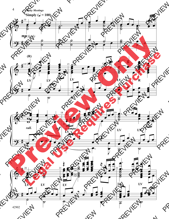





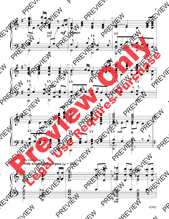

42902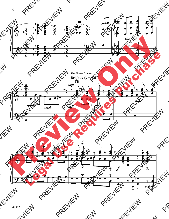

 $\overline{\mathbf{C}}$ 

 $\hat{\bullet}$ 

 $\hat{e}$  effects

œ œ

œ

e<br>T  $\ddot{\phantom{0}}$ 

œ **R**

 $\overline{y}$ 

 $\Rightarrow$ œ

œ

 $\overline{\bullet}$  $\frac{1}{1}$ 

 $\Box$  $\frac{1}{1}$   $\triangledown$ 

e<br>C

ē<br>I

**R**

 $\rightarrow$ œ

 $\frac{1}{\epsilon}$  $\frac{1}{1}$ 

 $\boldsymbol{m}$ 

 $\ddagger$ 

 $\pm$ 

œ

œ

 $\boldsymbol{f}$ 

 $\frac{}{\bullet}$  $\frac{1}{1}$   $\overline{\mathcal{N}}$ 

 $\mathbf{e}$ 

<u>):</u>

#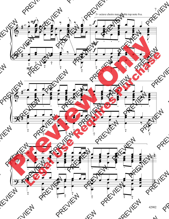5+ octave choirs may double top note *8va.*

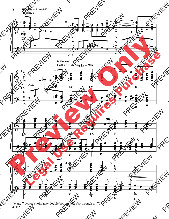

\*6 and 7 octave choirs may double bottom note 8vb.through m. 70. 42902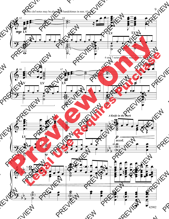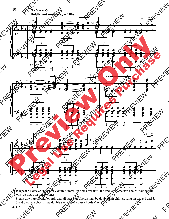

<sup>\*</sup>On repeat 5+ octave choirs may double stems-up notes *8va* until the end, and 3 octave choirs may double stems-up notes on handchimes.

\*\*Stems-down treble clef chords and all bass clef chords may be doubled on chimes, rung on beats 1 and 3. 6 and 7 octave choirs may double stems-down bass chords *8vb.*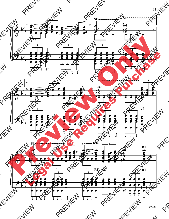

42902